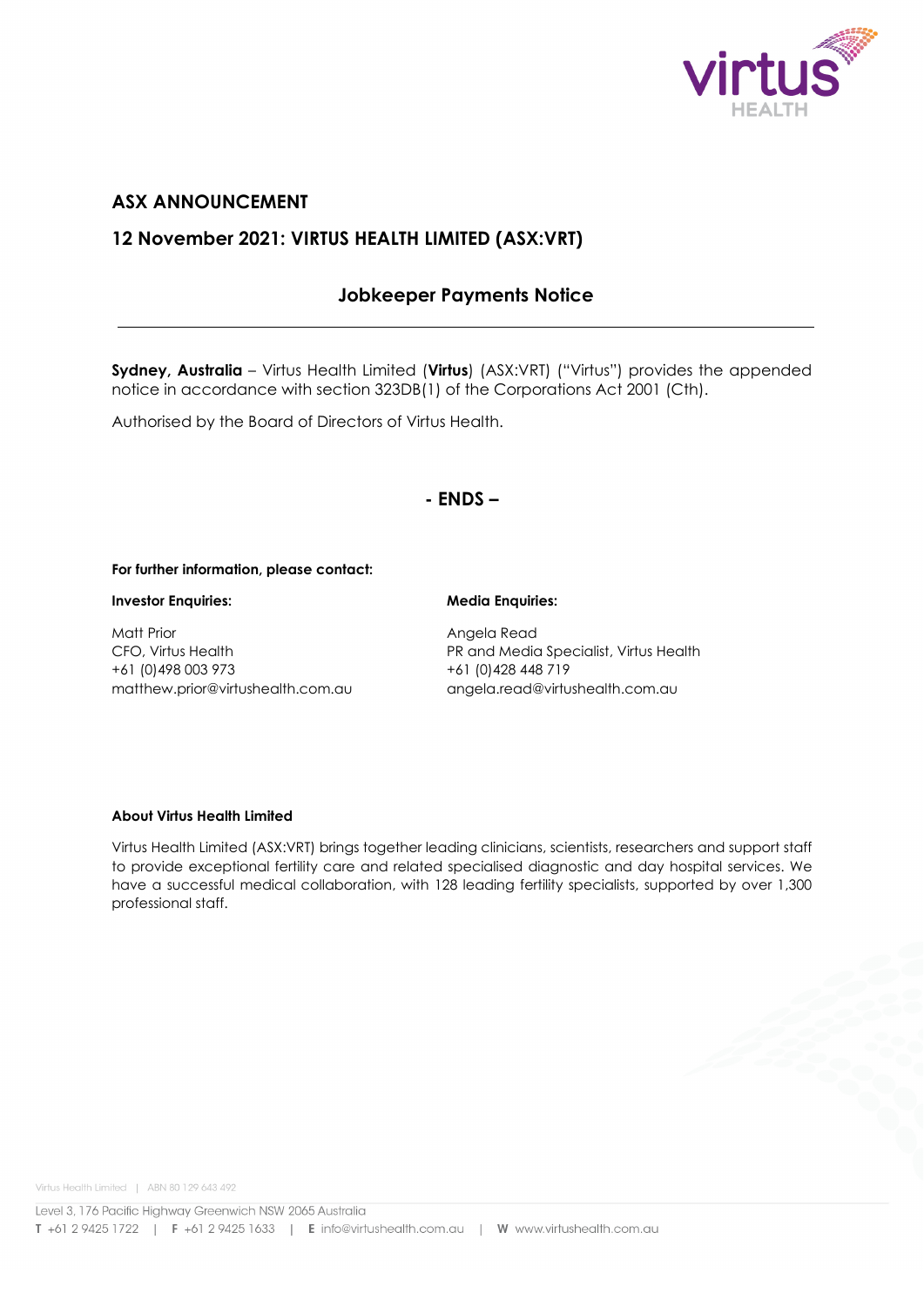

# **ASX ANNOUNCEMENT**

# **12 November 2021: VIRTUS HEALTH LIMITED (ASX:VRT)**

# **Jobkeeper Payments Notice**

**Sydney, Australia** – Virtus Health Limited (**Virtus**) (ASX:VRT) ("Virtus") provides the appended notice in accordance with section 323DB(1) of the Corporations Act 2001 (Cth).

Authorised by the Board of Directors of Virtus Health.

# **- ENDS –**

### **For further information, please contact:**

### **Investor Enquiries: Media Enquiries:**

Matt Prior **Angela Read** +61 (0)498 003 973 +61 (0)428 448 719 matthew.prior@virtushealth.com.au angela.read@virtushealth.com.au

CFO, Virtus Health PR and Media Specialist, Virtus Health

#### **About Virtus Health Limited**

Virtus Health Limited (ASX:VRT) brings together leading clinicians, scientists, researchers and support staff to provide exceptional fertility care and related specialised diagnostic and day hospital services. We have a successful medical collaboration, with 128 leading fertility specialists, supported by over 1,300 professional staff.

Virtus Health Limited | ABN 80 129 643 492